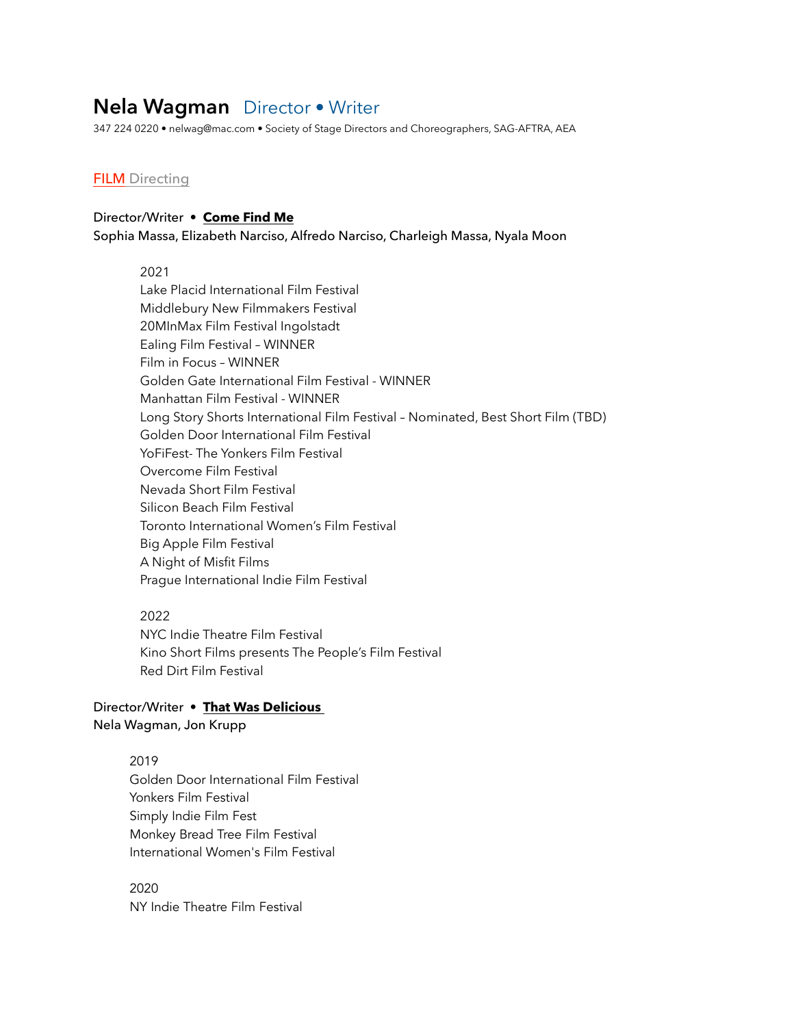# **Nela Wagman** Director • Writer

347 224 0220 • nelwag@mac.com • Society of Stage Directors and Choreographers, SAG-AFTRA, AEA

## **FILM** Directing

### Director/Writer • **Come Find Me**

Sophia Massa, Elizabeth Narciso, Alfredo Narciso, Charleigh Massa, Nyala Moon

2021

Lake Placid International Film Festival Middlebury New Filmmakers Festival 20MInMax Film Festival Ingolstadt Ealing Film Festival – WINNER Film in Focus – WINNER Golden Gate International Film Festival - WINNER Manhattan Film Festival - WINNER Long Story Shorts International Film Festival – Nominated, Best Short Film (TBD) Golden Door International Film Festival YoFiFest- The Yonkers Film Festival Overcome Film Festival Nevada Short Film Festival Silicon Beach Film Festival Toronto International Women's Film Festival Big Apple Film Festival A Night of Misfit Films Prague International Indie Film Festival

#### 2022

NYC Indie Theatre Film Festival Kino Short Films presents The People's Film Festival Red Dirt Film Festival

# Director/Writer • **That Was Delicious** Nela Wagman, Jon Krupp

# 2019 Golden Door International Film Festival Yonkers Film Festival Simply Indie Film Fest Monkey Bread Tree Film Festival

International Women's Film Festival

2020 NY Indie Theatre Film Festival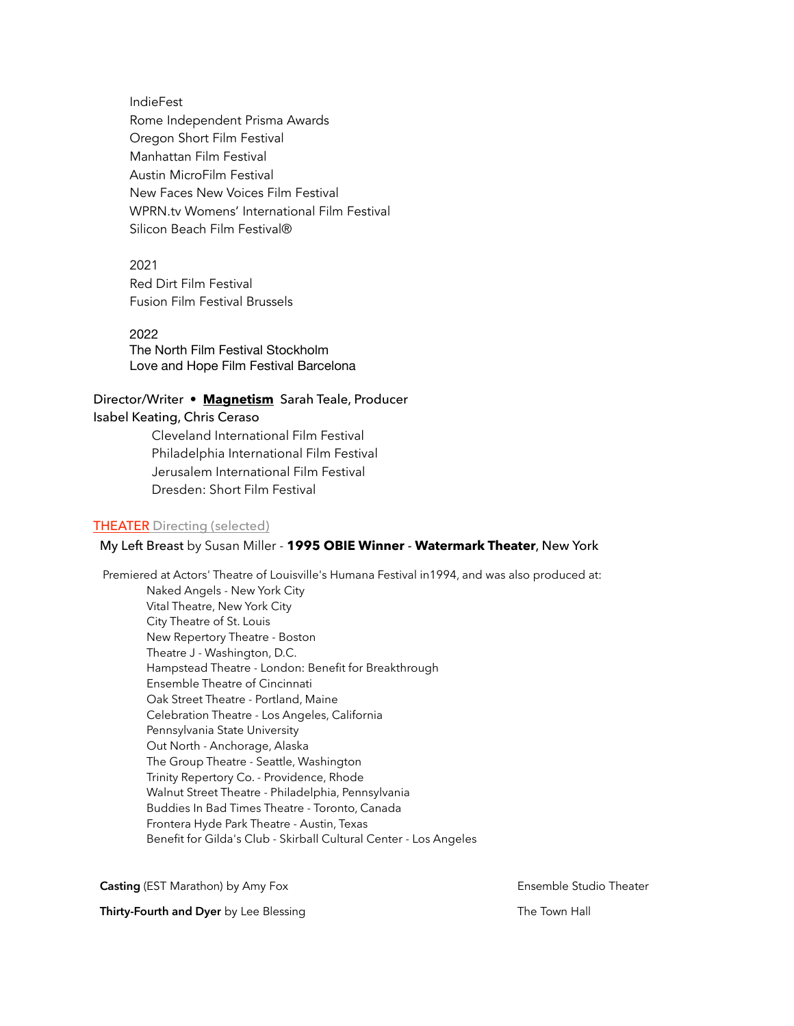IndieFest Rome Independent Prisma Awards Oregon Short Film Festival Manhattan Film Festival Austin MicroFilm Festival New Faces New Voices Film Festival WPRN.tv Womens' International Film Festival Silicon Beach Film Festival®

2021 Red Dirt Film Festival Fusion Film Festival Brussels

2022 The North Film Festival Stockholm Love and Hope Film Festival Barcelona

# Director/Writer • **Magnetism** Sarah Teale, Producer

Isabel Keating, Chris Ceraso

Cleveland International Film Festival Philadelphia International Film Festival Jerusalem International Film Festival Dresden: Short Film Festival

#### THEATER Directing (selected)

### My Left Breast by Susan Miller - **1995 OBIE Winner** - **Watermark Theater**, New York

 Premiered at Actors' Theatre of Louisville's Humana Festival in1994, and was also produced at: Naked Angels - New York City Vital Theatre, New York City City Theatre of St. Louis New Repertory Theatre - Boston Theatre J - Washington, D.C. Hampstead Theatre - London: Benefit for Breakthrough Ensemble Theatre of Cincinnati Oak Street Theatre - Portland, Maine Celebration Theatre - Los Angeles, California Pennsylvania State University Out North - Anchorage, Alaska The Group Theatre - Seattle, Washington Trinity Repertory Co. - Providence, Rhode Walnut Street Theatre - Philadelphia, Pennsylvania Buddies In Bad Times Theatre - Toronto, Canada Frontera Hyde Park Theatre - Austin, Texas Benefit for Gilda's Club - Skirball Cultural Center - Los Angeles

**Casting** (EST Marathon) by Amy Fox **Ensemble Studio Theater** Ensemble Studio Theater

**Thirty-Fourth and Dyer** by Lee Blessing The Town Hall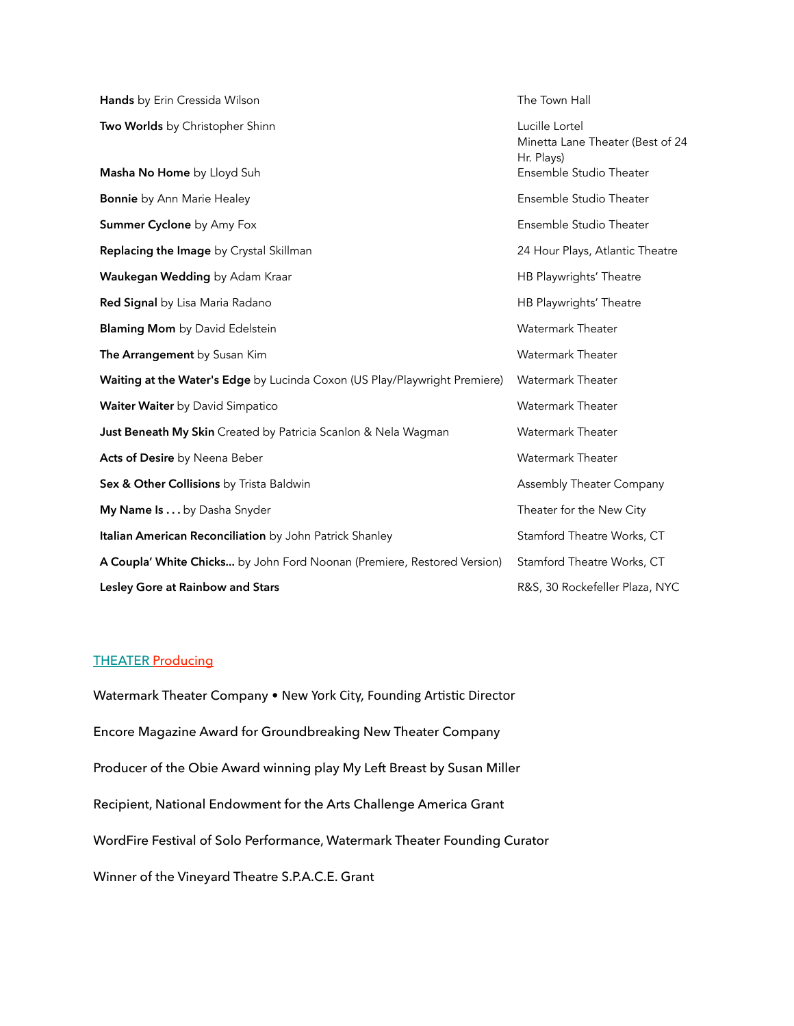| Hands by Erin Cressida Wilson                                              | The Town Hall                                                                               |
|----------------------------------------------------------------------------|---------------------------------------------------------------------------------------------|
| Two Worlds by Christopher Shinn<br>Masha No Home by Lloyd Suh              | Lucille Lortel<br>Minetta Lane Theater (Best of 24<br>Hr. Plays)<br>Ensemble Studio Theater |
| <b>Bonnie</b> by Ann Marie Healey                                          | Ensemble Studio Theater                                                                     |
| Summer Cyclone by Amy Fox                                                  | Ensemble Studio Theater                                                                     |
| Replacing the Image by Crystal Skillman                                    | 24 Hour Plays, Atlantic Theatre                                                             |
| Waukegan Wedding by Adam Kraar                                             | HB Playwrights' Theatre                                                                     |
| Red Signal by Lisa Maria Radano                                            | HB Playwrights' Theatre                                                                     |
| <b>Blaming Mom</b> by David Edelstein                                      | Watermark Theater                                                                           |
| The Arrangement by Susan Kim                                               | <b>Watermark Theater</b>                                                                    |
| Waiting at the Water's Edge by Lucinda Coxon (US Play/Playwright Premiere) | Watermark Theater                                                                           |
| <b>Waiter Waiter</b> by David Simpatico                                    | Watermark Theater                                                                           |
| Just Beneath My Skin Created by Patricia Scanlon & Nela Wagman             | Watermark Theater                                                                           |
| Acts of Desire by Neena Beber                                              | Watermark Theater                                                                           |
| Sex & Other Collisions by Trista Baldwin                                   | Assembly Theater Company                                                                    |
| My Name Is by Dasha Snyder                                                 | Theater for the New City                                                                    |
| Italian American Reconciliation by John Patrick Shanley                    | Stamford Theatre Works, CT                                                                  |
| A Coupla' White Chicks by John Ford Noonan (Premiere, Restored Version)    | Stamford Theatre Works, CT                                                                  |
| Lesley Gore at Rainbow and Stars                                           | R&S, 30 Rockefeller Plaza, NYC                                                              |

### THEATER Producing

Watermark Theater Company . New York City, Founding Artistic Director Encore Magazine Award for Groundbreaking New Theater Company Producer of the Obie Award winning play My Left Breast by Susan Miller Recipient, National Endowment for the Arts Challenge America Grant WordFire Festival of Solo Performance, Watermark Theater Founding Curator Winner of the Vineyard Theatre S.P.A.C.E. Grant